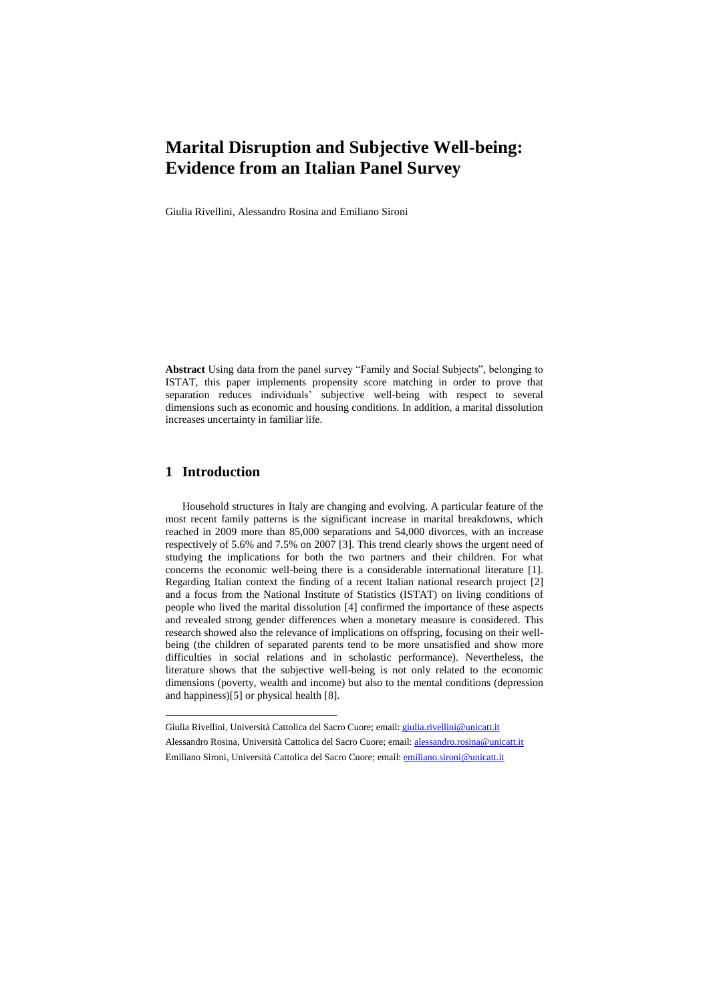# **Marital Disruption and Subjective Well-being: Evidence from an Italian Panel Survey**

Giulia Rivellini, Alessandro Rosina and Emiliano Sironi

**Abstract** Using data from the panel survey "Family and Social Subjects", belonging to ISTAT, this paper implements propensity score matching in order to prove that separation reduces individuals' subjective well-being with respect to several dimensions such as economic and housing conditions. In addition, a marital dissolution increases uncertainty in familiar life.

#### **1 Introduction**

 $\overline{a}$ 

Household structures in Italy are changing and evolving. A particular feature of the most recent family patterns is the significant increase in marital breakdowns, which reached in 2009 more than 85,000 separations and 54,000 divorces, with an increase respectively of 5.6% and 7.5% on 2007 [3]. This trend clearly shows the urgent need of studying the implications for both the two partners and their children. For what concerns the economic well-being there is a considerable international literature [1]. Regarding Italian context the finding of a recent Italian national research project [2] and a focus from the National Institute of Statistics (ISTAT) on living conditions of people who lived the marital dissolution [4] confirmed the importance of these aspects and revealed strong gender differences when a monetary measure is considered. This research showed also the relevance of implications on offspring, focusing on their wellbeing (the children of separated parents tend to be more unsatisfied and show more difficulties in social relations and in scholastic performance). Nevertheless, the literature shows that the subjective well-being is not only related to the economic dimensions (poverty, wealth and income) but also to the mental conditions (depression and happiness)[5] or physical health [8].

Giulia Rivellini, Università Cattolica del Sacro Cuore; email: [giulia.rivellini@unicatt.it](mailto:giulia.rivellini@unicatt.it) Alessandro Rosina, Università Cattolica del Sacro Cuore; email: [alessandro.rosina@unicatt.it](mailto:alessandro.rosina@unicatt.it) Emiliano Sironi, Università Cattolica del Sacro Cuore; email: *emiliano.sironi@unicatt.it*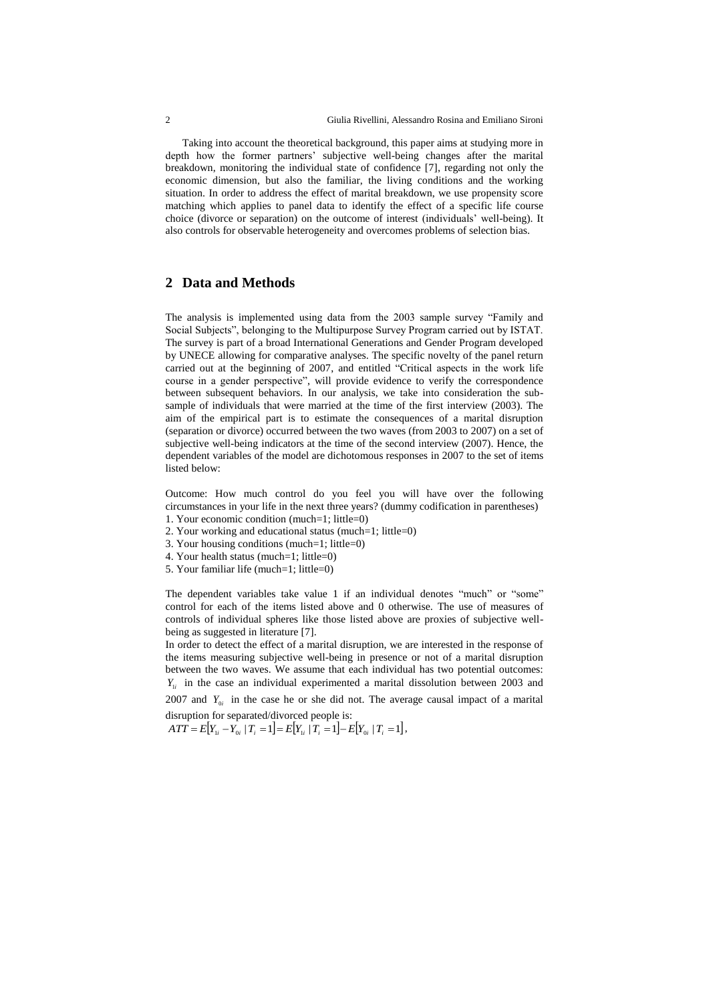Taking into account the theoretical background, this paper aims at studying more in depth how the former partners' subjective well-being changes after the marital breakdown, monitoring the individual state of confidence [7], regarding not only the economic dimension, but also the familiar, the living conditions and the working situation. In order to address the effect of marital breakdown, we use propensity score matching which applies to panel data to identify the effect of a specific life course choice (divorce or separation) on the outcome of interest (individuals' well-being). It also controls for observable heterogeneity and overcomes problems of selection bias.

## **2 Data and Methods**

The analysis is implemented using data from the 2003 sample survey "Family and Social Subjects", belonging to the Multipurpose Survey Program carried out by ISTAT. The survey is part of a broad International Generations and Gender Program developed by UNECE allowing for comparative analyses. The specific novelty of the panel return carried out at the beginning of 2007, and entitled "Critical aspects in the work life course in a gender perspective", will provide evidence to verify the correspondence between subsequent behaviors. In our analysis, we take into consideration the subsample of individuals that were married at the time of the first interview (2003). The aim of the empirical part is to estimate the consequences of a marital disruption (separation or divorce) occurred between the two waves (from 2003 to 2007) on a set of subjective well-being indicators at the time of the second interview (2007). Hence, the dependent variables of the model are dichotomous responses in 2007 to the set of items listed below:

Outcome: How much control do you feel you will have over the following circumstances in your life in the next three years? (dummy codification in parentheses) 1. Your economic condition (much=1; little=0)

- 
- 2. Your working and educational status (much=1; little=0)
- 3. Your housing conditions (much=1; little=0)
- 4. Your health status (much=1; little=0)
- 5. Your familiar life (much=1; little=0)

The dependent variables take value 1 if an individual denotes "much" or "some" control for each of the items listed above and 0 otherwise. The use of measures of controls of individual spheres like those listed above are proxies of subjective wellbeing as suggested in literature [7].

In order to detect the effect of a marital disruption, we are interested in the response of the items measuring subjective well-being in presence or not of a marital disruption between the two waves. We assume that each individual has two potential outcomes:  $Y_{1i}$  in the case an individual experimented a marital dissolution between 2003 and

2007 and  $Y_{0i}$  in the case he or she did not. The average causal impact of a marital disruption for separated/divorced people is:

 $ATT = E[Y_{1i} - Y_{0i} | T_i = 1] = E[Y_{1i} | T_i = 1] - E[Y_{0i} | T_i = 1],$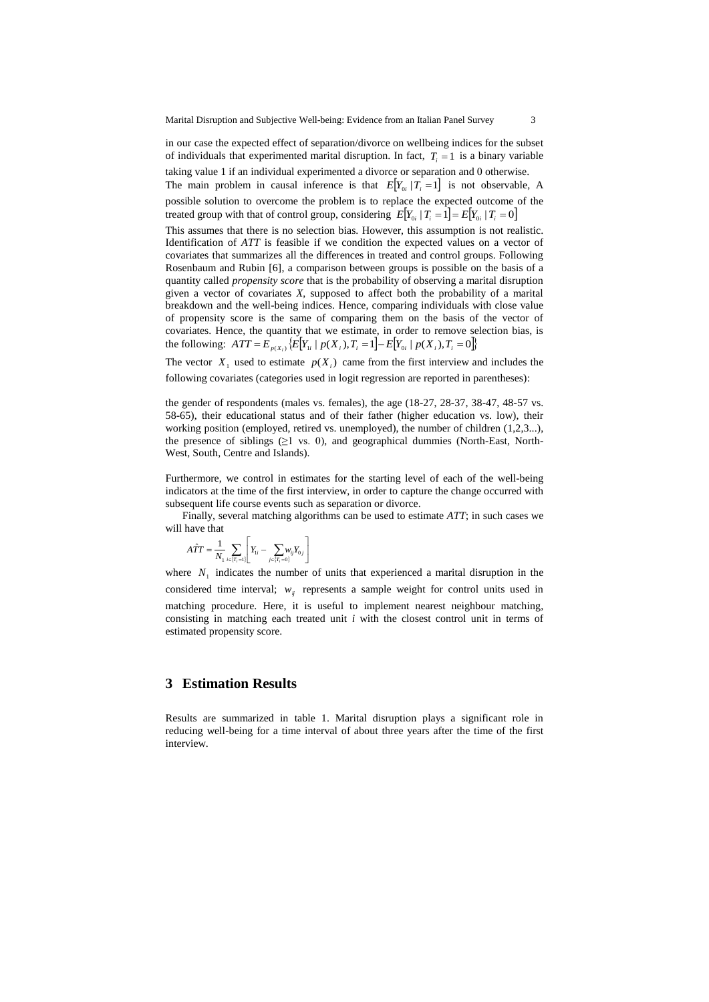in our case the expected effect of separation/divorce on wellbeing indices for the subset of individuals that experimented marital disruption. In fact,  $T_i = 1$  is a binary variable taking value 1 if an individual experimented a divorce or separation and 0 otherwise.

The main problem in causal inference is that  $E[Y_{0i} | T_i = 1]$  is not observable, A possible solution to overcome the problem is to replace the expected outcome of the treated group with that of control group, considering  $E[Y_{0i} | T_i = 1] = E[Y_{0i} | T_i = 0]$ 

This assumes that there is no selection bias. However, this assumption is not realistic. Identification of *ATT* is feasible if we condition the expected values on a vector of covariates that summarizes all the differences in treated and control groups. Following Rosenbaum and Rubin [6], a comparison between groups is possible on the basis of a quantity called *propensity score* that is the probability of observing a marital disruption given a vector of covariates *X*, supposed to affect both the probability of a marital breakdown and the well-being indices. Hence, comparing individuals with close value of propensity score is the same of comparing them on the basis of the vector of covariates. Hence, the quantity that we estimate, in order to remove selection bias, is the following:  $ATT = E_{p(X_i)} \{E[Y_i | p(X_i), T_i = 1] - E[Y_{0i} | p(X_i), T_i = 0]\}$ 

The vector  $X_1$  used to estimate  $p(X_i)$  came from the first interview and includes the following covariates (categories used in logit regression are reported in parentheses):

the gender of respondents (males vs. females), the age (18-27, 28-37, 38-47, 48-57 vs. 58-65), their educational status and of their father (higher education vs. low), their working position (employed, retired vs. unemployed), the number of children (1,2,3...), the presence of siblings  $(≥1$  vs. 0), and geographical dummies (North-East, North-West, South, Centre and Islands).

Furthermore, we control in estimates for the starting level of each of the well-being indicators at the time of the first interview, in order to capture the change occurred with subsequent life course events such as separation or divorce.

Finally, several matching algorithms can be used to estimate *ATT*; in such cases we will have that

$$
\hat{ATT} = \frac{1}{N_1} \sum_{i \in \{T_i = 1\}} \left[ Y_{1i} - \sum_{j \in \{T_i = 0\}} W_{ij} Y_{0j} \right]
$$

where  $N_1$  indicates the number of units that experienced a marital disruption in the considered time interval;  $w_{ij}$  represents a sample weight for control units used in matching procedure. Here, it is useful to implement nearest neighbour matching, consisting in matching each treated unit *i* with the closest control unit in terms of estimated propensity score.

#### **3 Estimation Results**

Results are summarized in table 1. Marital disruption plays a significant role in reducing well-being for a time interval of about three years after the time of the first interview.